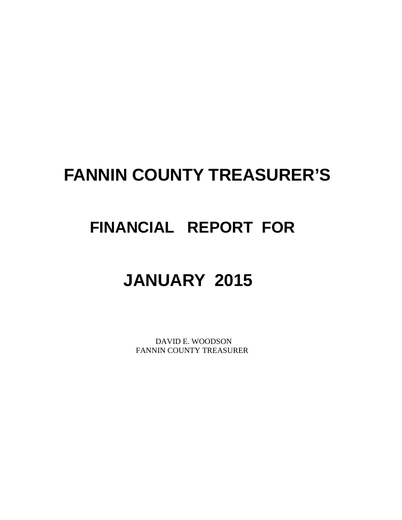# **FANNIN COUNTY TREASURER'S**

# **FINANCIAL REPORT FOR**

# **JANUARY 2015**

 DAVID E. WOODSON FANNIN COUNTY TREASURER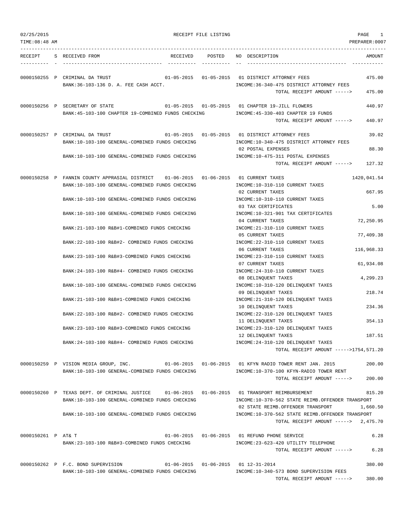| 02/25/2015<br>TIME: 08:48 AM |                                                                                                                                                   | RECEIPT FILE LISTING |                                                                                                                               | PAGE<br>1<br>PREPARER:0007 |
|------------------------------|---------------------------------------------------------------------------------------------------------------------------------------------------|----------------------|-------------------------------------------------------------------------------------------------------------------------------|----------------------------|
|                              |                                                                                                                                                   |                      |                                                                                                                               |                            |
| RECEIPT                      | S RECEIVED FROM<br>RECEIVED                                                                                                                       | POSTED               | NO DESCRIPTION                                                                                                                | AMOUNT                     |
|                              | 0000150255 P CRIMINAL DA TRUST<br>BANK: 36-103-136 D. A. FEE CASH ACCT.                                                                           |                      | 01-05-2015  01-05-2015  01 DISTRICT ATTORNEY FEES<br>INCOME: 36-340-475 DISTRICT ATTORNEY FEES                                | 475.00                     |
|                              |                                                                                                                                                   |                      | TOTAL RECEIPT AMOUNT ----->                                                                                                   | 475.00                     |
|                              | 0000150256 P SECRETARY OF STATE<br>BANK: 45-103-100 CHAPTER 19-COMBINED FUNDS CHECKING                                                            |                      | 01-05-2015  01-05-2015  01 CHAPTER 19-JILL FLOWERS<br>INCOME: 45-330-403 CHAPTER 19 FUNDS                                     | 440.97                     |
|                              |                                                                                                                                                   |                      | TOTAL RECEIPT AMOUNT ----->                                                                                                   | 440.97                     |
|                              | 0000150257 P CRIMINAL DA TRUST<br>BANK:10-103-100 GENERAL-COMBINED FUNDS CHECKING                                                                 |                      | 01-05-2015  01-05-2015  01 DISTRICT ATTORNEY FEES<br>INCOME:10-340-475 DISTRICT ATTORNEY FEES                                 | 39.02                      |
|                              | BANK:10-103-100 GENERAL-COMBINED FUNDS CHECKING                                                                                                   |                      | 02 POSTAL EXPENSES<br>INCOME:10-475-311 POSTAL EXPENSES                                                                       | 88.30                      |
|                              |                                                                                                                                                   |                      | TOTAL RECEIPT AMOUNT ----->                                                                                                   | 127.32                     |
|                              | 0000150258 P FANNIN COUNTY APPRASIAL DISTRICT  01-06-2015  01-06-2015  01 CURRENT TAXES<br>BANK:10-103-100 GENERAL-COMBINED FUNDS CHECKING        |                      | INCOME:10-310-110 CURRENT TAXES                                                                                               | 1420,041.54<br>667.95      |
|                              | BANK:10-103-100 GENERAL-COMBINED FUNDS CHECKING                                                                                                   |                      | 02 CURRENT TAXES<br>INCOME:10-310-110 CURRENT TAXES<br>03 TAX CERTIFICATES                                                    | 5.00                       |
|                              | BANK:10-103-100 GENERAL-COMBINED FUNDS CHECKING                                                                                                   |                      | INCOME:10-321-901 TAX CERTIFICATES<br>04 CURRENT TAXES                                                                        | 72,250.95                  |
|                              | BANK:21-103-100 R&B#1-COMBINED FUNDS CHECKING                                                                                                     |                      | INCOME: 21-310-110 CURRENT TAXES<br>05 CURRENT TAXES                                                                          | 77,409.38                  |
|                              | BANK: 22-103-100 R&B#2- COMBINED FUNDS CHECKING                                                                                                   |                      | INCOME: 22-310-110 CURRENT TAXES<br>06 CURRENT TAXES                                                                          | 116,968.33                 |
|                              | BANK: 23-103-100 R&B#3-COMBINED FUNDS CHECKING                                                                                                    |                      | INCOME: 23-310-110 CURRENT TAXES<br>07 CURRENT TAXES                                                                          | 61,934.08                  |
|                              | BANK:24-103-100 R&B#4- COMBINED FUNDS CHECKING<br>BANK:10-103-100 GENERAL-COMBINED FUNDS CHECKING                                                 |                      | INCOME: 24-310-110 CURRENT TAXES<br>08 DELINQUENT TAXES<br>INCOME:10-310-120 DELINQUENT TAXES                                 | 4,299.23                   |
|                              | BANK: 21-103-100 R&B#1-COMBINED FUNDS CHECKING                                                                                                    |                      | 09 DELINOUENT TAXES<br>INCOME: 21-310-120 DELINQUENT TAXES                                                                    | 218.74                     |
|                              | BANK: 22-103-100 R&B#2- COMBINED FUNDS CHECKING                                                                                                   |                      | 10 DELINQUENT TAXES<br>INCOME: 22-310-120 DELINQUENT TAXES                                                                    | 234.36                     |
|                              | BANK:23-103-100 R&B#3-COMBINED FUNDS CHECKING                                                                                                     |                      | 11 DELINQUENT TAXES<br>INCOME: 23-310-120 DELINQUENT TAXES                                                                    | 354.13                     |
|                              | BANK:24-103-100 R&B#4- COMBINED FUNDS CHECKING                                                                                                    |                      | 12 DELINQUENT TAXES<br>INCOME: 24-310-120 DELINQUENT TAXES                                                                    | 187.51                     |
|                              |                                                                                                                                                   |                      | TOTAL RECEIPT AMOUNT ----->1754,571.20                                                                                        |                            |
|                              | 0000150259 P VISION MEDIA GROUP, INC. 01-06-2015 01-06-2015 01 KFYN RADIO TOWER RENT JAN. 2015<br>BANK:10-103-100 GENERAL-COMBINED FUNDS CHECKING |                      | INCOME:10-370-100 KFYN-RADIO TOWER RENT                                                                                       | 200.00                     |
|                              |                                                                                                                                                   |                      | TOTAL RECEIPT AMOUNT ----->                                                                                                   | 200.00                     |
|                              | 0000150260 P TEXAS DEPT. OF CRIMINAL JUSTICE 01-06-2015 01-06-2015 01 TRANSPORT REIMBURSEMENT<br>BANK:10-103-100 GENERAL-COMBINED FUNDS CHECKING  |                      | INCOME:10-370-562 STATE REIMB.OFFENDER TRANSPORT                                                                              | 815.20                     |
|                              | BANK:10-103-100 GENERAL-COMBINED FUNDS CHECKING                                                                                                   |                      | 02 STATE REIMB.OFFENDER TRANSPORT<br>INCOME:10-370-562 STATE REIMB.OFFENDER TRANSPORT<br>TOTAL RECEIPT AMOUNT -----> 2,475.70 | 1,660.50                   |
| 0000150261 P AT& T           |                                                                                                                                                   |                      | 01-06-2015  01-06-2015  01 REFUND PHONE SERVICE                                                                               | 6.28                       |
|                              | BANK:23-103-100 R&B#3-COMBINED FUNDS CHECKING                                                                                                     |                      | INCOME: 23-623-420 UTILITY TELEPHONE<br>TOTAL RECEIPT AMOUNT ----->                                                           | 6.28                       |
|                              | 0000150262 P F.C. BOND SUPERVISION<br>BANK:10-103-100 GENERAL-COMBINED FUNDS CHECKING                                                             |                      | $01-06-2015$ $01-06-2015$ $01 12-31-2014$<br>INCOME:10-340-573 BOND SUPERVISION FEES                                          | 380.00                     |
|                              |                                                                                                                                                   |                      | TOTAL RECEIPT AMOUNT ----->                                                                                                   | 380.00                     |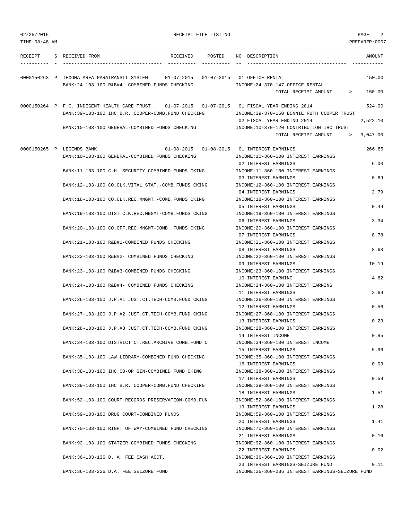| 02/25/2015<br>TIME: 08:48 AM |                                                                                                                                                      |          | RECEIPT FILE LISTING |                                                                         | 2<br>PAGE<br>PREPARER:0007 |
|------------------------------|------------------------------------------------------------------------------------------------------------------------------------------------------|----------|----------------------|-------------------------------------------------------------------------|----------------------------|
|                              |                                                                                                                                                      |          |                      |                                                                         |                            |
| RECEIPT                      | S RECEIVED FROM                                                                                                                                      | RECEIVED | POSTED               | NO DESCRIPTION                                                          | AMOUNT                     |
|                              | 0000150263 P TEXOMA AREA PARATRANSIT SYSTEM 01-07-2015 01-07-2015 01 OFFICE RENTAL                                                                   |          |                      |                                                                         | 150.00                     |
|                              | BANK:24-103-100 R&B#4- COMBINED FUNDS CHECKING                                                                                                       |          |                      | INCOME: 24-370-147 OFFICE RENTAL                                        |                            |
|                              |                                                                                                                                                      |          |                      | TOTAL RECEIPT AMOUNT ----->                                             | 150.00                     |
|                              | 0000150264 P F.C. INDEGENT HEALTH CARE TRUST 01-07-2015 01-07-2015 01 FISCAL YEAR ENDING 2014<br>BANK:39-103-100 IHC B.R. COOPER-COMB. FUND CHECKING |          |                      | INCOME: 39-370-150 BONNIE RUTH COOPER TRUST                             | 524.90                     |
|                              |                                                                                                                                                      |          |                      | 02 FISCAL YEAR ENDING 2014                                              | 2,522.10                   |
|                              | BANK:10-103-100 GENERAL-COMBINED FUNDS CHECKING                                                                                                      |          |                      | INCOME:10-370-120 CONTRIBUTION IHC TRUST<br>TOTAL RECEIPT AMOUNT -----> | 3,047.00                   |
|                              | 0000150265 P LEGENDS BANK                                                                                                                            |          |                      |                                                                         | 266.85                     |
|                              | BANK:10-103-100 GENERAL-COMBINED FUNDS CHECKING                                                                                                      |          |                      | INCOME:10-360-100 INTEREST EARNINGS<br>02 INTEREST EARNINGS             | 6.00                       |
|                              | BANK:11-103-100 C.H. SECURITY-COMBINED FUNDS CKING                                                                                                   |          |                      | INCOME:11-360-100 INTEREST EARNINGS<br>03 INTEREST EARNINGS             | 0.69                       |
|                              | BANK:12-103-100 CO.CLK.VITAL STAT.-COMB.FUNDS CKING                                                                                                  |          |                      | INCOME:12-360-100 INTEREST EARNINGS<br>04 INTEREST EARNINGS             | 2.79                       |
|                              | BANK: 18-103-100 CO. CLK. REC. MNGMT. - COMB. FUNDS CKING                                                                                            |          |                      | INCOME:18-360-100 INTEREST EARNINGS<br>05 INTEREST EARNINGS             | 0.49                       |
|                              | BANK:19-103-100 DIST.CLK.REC.MNGMT-COMB.FUNDS CKING                                                                                                  |          |                      | INCOME:19-360-100 INTEREST EARNINGS<br>06 INTEREST EARNINGS             | 3.34                       |
|                              | BANK:20-103-100 CO.OFF.REC.MNGMT-COMB. FUNDS CKING                                                                                                   |          |                      | INCOME: 20-360-100 INTEREST EARNINGS                                    |                            |
|                              | BANK:21-103-100 R&B#1-COMBINED FUNDS CHECKING                                                                                                        |          |                      | 07 INTEREST EARNINGS<br>INCOME: 21-360-100 INTEREST EARNINGS            | 8.78                       |
|                              | BANK: 22-103-100 R&B#2- COMBINED FUNDS CHECKING                                                                                                      |          |                      | 08 INTEREST EARNINGS<br>INCOME: 22-360-100 INTEREST EARNINGS            | 8.68                       |
|                              | BANK: 23-103-100 R&B#3-COMBINED FUNDS CHECKING                                                                                                       |          |                      | 09 INTEREST EARNINGS<br>INCOME: 23-360-100 INTEREST EARNINGS            | 10.19                      |
|                              | BANK: 24-103-100 R&B#4- COMBINED FUNDS CHECKING                                                                                                      |          |                      | 10 INTEREST EARNING<br>INCOME: 24-360-100 INTEREST EARNING              | 4.62                       |
|                              | BANK:26-103-100 J.P.#1 JUST.CT.TECH-COMB.FUND CKING                                                                                                  |          |                      | 11 INTEREST EARNINGS<br>INCOME: 26-360-100 INTEREST EARNINGS            | 2.69                       |
|                              | BANK: 27-103-100 J.P.#2 JUST.CT.TECH-COMB.FUND CKING                                                                                                 |          |                      | 12 INTEREST EARNINGS<br>INCOME: 27-360-100 INTEREST EARNINGS            | 0.56                       |
|                              | BANK: 28-103-100 J.P.#3 JUST.CT. TECH-COMB. FUND CKING                                                                                               |          |                      | 13 INTEREST EARNINGS<br>INCOME: 28-360-100 INTEREST EARNINGS            | 0.23                       |
|                              | BANK:34-103-100 DISTRICT CT.REC.ARCHIVE COMB.FUND C                                                                                                  |          |                      | 14 INTEREST INCOME<br>INCOME: 34-360-100 INTEREST INCOME                | 0.85                       |
|                              | BANK: 35-103-100 LAW LIBRARY-COMBINED FUND CHECKING                                                                                                  |          |                      | 15 INTEREST EARNINGS<br>INCOME: 35-360-100 INTEREST EARNINGS            | 5.96                       |
|                              | BANK:38-103-100 IHC CO-OP GIN-COMBINED FUND CKING                                                                                                    |          |                      | 16 INTEREST EARNINGS<br>INCOME: 38-360-100 INTEREST EARNINGS            | 0.03                       |
|                              | BANK: 39-103-100 IHC B.R. COOPER-COMB. FUND CHECKING                                                                                                 |          |                      | 17 INTEREST EARNINGS<br>INCOME: 39-360-100 INTEREST EARNINGS            | 0.59                       |
|                              |                                                                                                                                                      |          |                      | 18 INTEREST EARNINGS                                                    | 1.51                       |
|                              | BANK:52-103-100 COURT RECORDS PRESERVATION-COMB.FUN                                                                                                  |          |                      | INCOME: 52-360-100 INTEREST EARNINGS<br>19 INTEREST EARNINGS            | 1.28                       |
|                              | BANK: 59-103-100 DRUG COURT-COMBINED FUNDS                                                                                                           |          |                      | INCOME: 59-360-100 INTEREST EARNINGS<br>20 INTEREST EARNINGS            | 1.41                       |
|                              | BANK:70-103-100 RIGHT OF WAY-COMBINED FUND CHECKING                                                                                                  |          |                      | INCOME: 70-360-100 INTEREST EARNINGS<br>21 INTEREST EARNINGS            | 0.16                       |
|                              | BANK: 92-103-100 STATZER-COMBINED FUNDS CHECKING                                                                                                     |          |                      | INCOME: 92-360-100 INTEREST EARNINGS                                    |                            |

BANK:36-103-136 D. A. FEE CASH ACCT. INCOME:36-360-100 INTEREST EARNINGS

23 INTEREST EARNINGS-SEIZURE FUND 0.11 BANK:36-103-236 D.A. FEE SEIZURE FUND INCOME:36-360-236 INTEREST EARNINGS-SEIZURE FUND

22 INTEREST EARNINGS 0.02

- 
-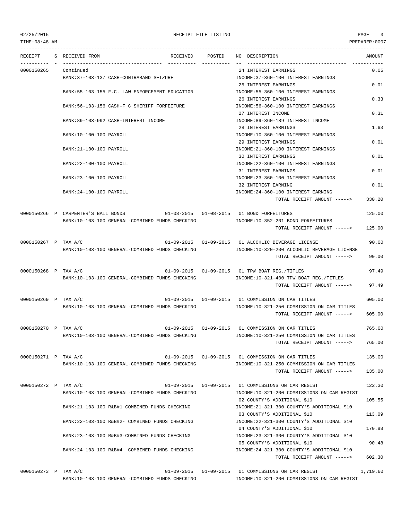TIME:08:48 AM PREPARER:0007

## 02/25/2015 RECEIPT FILE LISTING PAGE 3

--------------------------------------------------------------------------------------------------------------------------------- RECEIPT S RECEIVED FROM THE RECEIVED POSTED NO DESCRIPTION THE RECEIVED AMOUNT ---------- - ----------------------------------- ---------- ---------- -- ----------------------------------- ----------- 0000150265 Continued 24 INTEREST EARNINGS 0.05 BANK:37-103-137 CASH-CONTRABAND SEIZURE INCOME:37-360-100 INTEREST EARNINGS 25 INTEREST EARNINGS 0.01 BANK:55-103-155 F.C. LAW ENFORCEMENT EDUCATION INCOME:55-360-100 INTEREST EARNINGS 26 INTEREST EARNINGS 0.33 BANK:56-103-156 CASH-F C SHERIFF FORFEITURE INCOME:56-360-100 INTEREST EARNINGS 27 INTEREST INCOME 0.31 BANK:89-103-992 CASH-INTEREST INCOME INCOME INCOME:89-360-189 INTEREST INCOME 28 INTEREST EARNINGS 1.63 BANK:10-100-100 PAYROLL 10-360-100 INTEREST EARNINGS 29 INTEREST EARNINGS 0.01 BANK:21-100-100 PAYROLL INCOME:21-360-100 INTEREST EARNINGS 30 INTEREST EARNINGS 0.01 BANK:22-100-100 PAYROLL SERIES AND THE SERIES OF THE SERIES OF THE SERIES OF THE SERIES OF THE SERIES OF THE SERIES OF THE SERIES OF THE SERIES OF THE SERIES OF THE SERIES OF THE SERIES OF THE SERIES OF THE SERIES OF THE S 31 INTEREST EARNINGS 0.01 BANK:23-100-100 PAYROLL INCOME:23-360-100 INTEREST EARNINGS 32 INTEREST EARNING 0.01 BANK:24-100-100 PAYROLL INCOME:24-360-100 INTEREST EARNING TOTAL RECEIPT AMOUNT -----> 330.20 0000150266 P CARPENTER'S BAIL BONDS 01-08-2015 01-08-2015 01 BOND FORFEITURES 125.00 BANK:10-103-100 GENERAL-COMBINED FUNDS CHECKING INCOME:10-352-201 BOND FORFEITURES TOTAL RECEIPT AMOUNT -----> 125.00 0000150267 P TAX A/C 01-09-2015 01-09-2015 01 ALCOHLIC BEVERAGE LICENSE 90.00 BANK:10-103-100 GENERAL-COMBINED FUNDS CHECKING INCOME:10-320-200 ALCOHLIC BEVERAGE LICENSE TOTAL RECEIPT AMOUNT -----> 90.00 0000150268 P TAX A/C 01-09-2015 01-09-2015 01 TPW BOAT REG./TITLES 97.49 BANK:10-103-100 GENERAL-COMBINED FUNDS CHECKING INCOME:10-321-400 TPW BOAT REG./TITLES TOTAL RECEIPT AMOUNT -----> 97.49 0000150269 P TAX A/C 01-09-2015 01-09-2015 01 COMMISSION ON CAR TITLES 605.00 BANK:10-103-100 GENERAL-COMBINED FUNDS CHECKING INCOME:10-321-250 COMMISSION ON CAR TITLES TOTAL RECEIPT AMOUNT -----> 605.00 0000150270 P TAX A/C 01-09-2015 01-09-2015 01 COMMISSION ON CAR TITLES 765.00 BANK:10-103-100 GENERAL-COMBINED FUNDS CHECKING INCOME:10-321-250 COMMISSION ON CAR TITLES TOTAL RECEIPT AMOUNT -----> 765.00 0000150271 P TAX A/C 01-09-2015 01-09-2015 01 COMMISSION ON CAR TITLES 135.00 BANK:10-103-100 GENERAL-COMBINED FUNDS CHECKING INCOME:10-321-250 COMMISSION ON CAR TITLES TOTAL RECEIPT AMOUNT -----> 135.00 0000150272 P TAX A/C 01-09-2015 01-09-2015 01 COMMISSIONS ON CAR REGIST 122.30 BANK:10-103-100 GENERAL-COMBINED FUNDS CHECKING INCOME:10-321-200 COMMISSIONS ON CAR REGIST 02 COUNTY'S ADDITIONAL \$10 105.55 BANK:21-103-100 R&B#1-COMBINED FUNDS CHECKING INCOME:21-321-300 COUNTY'S ADDITIONAL \$10 03 COUNTY'S ADDITIONAL \$10 113.09 BANK:22-103-100 R&B#2- COMBINED FUNDS CHECKING INCOME:22-321-300 COUNTY'S ADDITIONAL \$10 04 COUNTY'S ADDITIONAL \$10 170.88 BANK:23-103-100 R&B#3-COMBINED FUNDS CHECKING INCOME:23-321-300 COUNTY'S ADDITIONAL \$10 05 COUNTY'S ADDITIONAL \$10 90.48 BANK:24-103-100 R&B#4- COMBINED FUNDS CHECKING INCOME:24-321-300 COUNTY'S ADDITIONAL \$10 TOTAL RECEIPT AMOUNT -----> 602.30

0000150273 P TAX A/C 01-09-2015 01-09-2015 01 COMMISSIONS ON CAR REGIST 1,719.60 BANK:10-103-100 GENERAL-COMBINED FUNDS CHECKING INCOME:10-321-200 COMMISSIONS ON CAR REGIST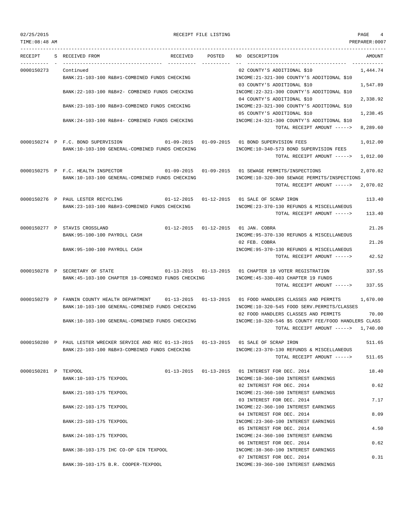02/25/2015 RECEIPT FILE LISTING PAGE 4

| TIME:08:48 AM        |                                                                                                                                                            |        |                                                                                                                                        | PREPARER:0007        |
|----------------------|------------------------------------------------------------------------------------------------------------------------------------------------------------|--------|----------------------------------------------------------------------------------------------------------------------------------------|----------------------|
| RECEIPT              | S RECEIVED FROM<br>RECEIVED                                                                                                                                | POSTED | NO DESCRIPTION<br>__ _ _________________________________                                                                               | AMOUNT               |
| 0000150273           | Continued<br>BANK: 21-103-100 R&B#1-COMBINED FUNDS CHECKING                                                                                                |        | 02 COUNTY'S ADDITIONAL \$10<br>INCOME: 21-321-300 COUNTY'S ADDITIONAL \$10                                                             | 1,444.74             |
|                      | BANK:22-103-100 R&B#2- COMBINED FUNDS CHECKING                                                                                                             |        | 03 COUNTY'S ADDITIONAL \$10<br>INCOME: 22-321-300 COUNTY'S ADDITIONAL \$10                                                             | 1,547.89             |
|                      | BANK: 23-103-100 R&B#3-COMBINED FUNDS CHECKING                                                                                                             |        | 04 COUNTY'S ADDITIONAL \$10<br>INCOME: 23-321-300 COUNTY'S ADDITIONAL \$10<br>05 COUNTY'S ADDITIONAL \$10                              | 2,338.92<br>1,238.45 |
|                      | BANK:24-103-100 R&B#4- COMBINED FUNDS CHECKING                                                                                                             |        | INCOME: 24-321-300 COUNTY'S ADDITIONAL \$10<br>TOTAL RECEIPT AMOUNT ----->                                                             | 8,289.60             |
|                      | 0000150274 P F.C. BOND SUPERVISION<br>BANK:10-103-100 GENERAL-COMBINED FUNDS CHECKING                                                                      |        | 01-09-2015   01-09-2015   01   BOND SUPERVISION FEES<br>INCOME:10-340-573 BOND SUPERVISION FEES                                        | 1,012.00             |
|                      |                                                                                                                                                            |        | TOTAL RECEIPT AMOUNT ----->                                                                                                            | 1,012.00             |
|                      | 0000150275 P F.C. HEALTH INSPECTOR<br>BANK:10-103-100 GENERAL-COMBINED FUNDS CHECKING                                                                      |        | $01-09-2015$ $01-09-2015$ 01 SEWAGE PERMITS/INSPECTIONS<br>INCOME:10-320-300 SEWAGE PERMITS/INSPECTIONS<br>TOTAL RECEIPT AMOUNT -----> | 2,070.02<br>2,070.02 |
|                      | 0000150276 P PAUL LESTER RECYCLING 01-12-2015 01-12-2015 01 SALE OF SCRAP IRON                                                                             |        |                                                                                                                                        | 113.40               |
|                      | BANK: 23-103-100 R&B#3-COMBINED FUNDS CHECKING                                                                                                             |        | INCOME: 23-370-130 REFUNDS & MISCELLANEOUS<br>TOTAL RECEIPT AMOUNT ----->                                                              | 113.40               |
|                      | 0000150277 P STAVIS CROSSLAND                                                                                                                              |        | 01-12-2015  01-12-2015  01 JAN. COBRA                                                                                                  | 21.26                |
|                      | BANK:95-100-100 PAYROLL CASH                                                                                                                               |        | INCOME: 95-370-130 REFUNDS & MISCELLANEOUS<br>02 FEB. COBRA                                                                            | 21.26                |
|                      | BANK:95-100-100 PAYROLL CASH                                                                                                                               |        | INCOME: 95-370-130 REFUNDS & MISCELLANEOUS<br>TOTAL RECEIPT AMOUNT ----->                                                              | 42.52                |
|                      | 0000150278 P SECRETARY OF STATE                                                                                                                            |        | 01-13-2015  01-13-2015  01 CHAPTER 19 VOTER REGISTRATION                                                                               | 337.55               |
|                      | BANK: 45-103-100 CHAPTER 19-COMBINED FUNDS CHECKING                                                                                                        |        | INCOME: 45-330-403 CHAPTER 19 FUNDS<br>TOTAL RECEIPT AMOUNT ----->                                                                     | 337.55               |
|                      | 0000150279 P FANNIN COUNTY HEALTH DEPARTMENT 01-13-2015 01-13-2015 01 FOOD HANDLERS CLASSES AND PERMITS<br>BANK:10-103-100 GENERAL-COMBINED FUNDS CHECKING |        | INCOME:10-320-545 FOOD SERV.PERMITS/CLASSES                                                                                            | 1,670.00             |
|                      | BANK:10-103-100 GENERAL-COMBINED FUNDS CHECKING                                                                                                            |        | 02 FOOD HANDLERS CLASSES AND PERMITS<br>INCOME:10-320-546 \$5 COUNTY FEE/FOOD HANDLERS CLASS                                           | 70.00                |
|                      |                                                                                                                                                            |        | TOTAL RECEIPT AMOUNT -----> 1,740.00                                                                                                   |                      |
|                      | 0000150280 P PAUL LESTER WRECKER SERVICE AND REC 01-13-2015 01-13-2015 01 SALE OF SCRAP IRON<br>BANK: 23-103-100 R&B#3-COMBINED FUNDS CHECKING             |        | INCOME: 23-370-130 REFUNDS & MISCELLANEOUS                                                                                             | 511.65               |
|                      |                                                                                                                                                            |        | TOTAL RECEIPT AMOUNT ----->                                                                                                            | 511.65               |
| 0000150281 P TEXPOOL | BANK:10-103-175 TEXPOOL                                                                                                                                    |        | 01-13-2015  01-13-2015  01 INTEREST FOR DEC. 2014<br>INCOME:10-360-100 INTEREST EARNINGS                                               | 18.40                |
|                      | BANK: 21-103-175 TEXPOOL                                                                                                                                   |        | 02 INTEREST FOR DEC. 2014<br>INCOME: 21-360-100 INTEREST EARNINGS                                                                      | 0.62                 |
|                      | BANK: 22-103-175 TEXPOOL                                                                                                                                   |        | 03 INTEREST FOR DEC. 2014<br>INCOME: 22-360-100 INTEREST EARNINGS                                                                      | 7.17                 |
|                      | BANK: 23-103-175 TEXPOOL                                                                                                                                   |        | 04 INTEREST FOR DEC. 2014<br>INCOME: 23-360-100 INTEREST EARNINGS                                                                      | 8.09                 |
|                      |                                                                                                                                                            |        | 05 INTEREST FOR DEC. 2014                                                                                                              | 4.50                 |
|                      | BANK: 24-103-175 TEXPOOL                                                                                                                                   |        | INCOME: 24-360-100 INTEREST EARNING<br>06 INTEREST FOR DEC. 2014                                                                       | 0.62                 |
|                      | BANK: 38-103-175 IHC CO-OP GIN TEXPOOL                                                                                                                     |        | INCOME: 38-360-100 INTEREST EARNINGS<br>07 INTEREST FOR DEC. 2014                                                                      | 0.31                 |
|                      | BANK: 39-103-175 B.R. COOPER-TEXPOOL                                                                                                                       |        | INCOME: 39-360-100 INTEREST EARNINGS                                                                                                   |                      |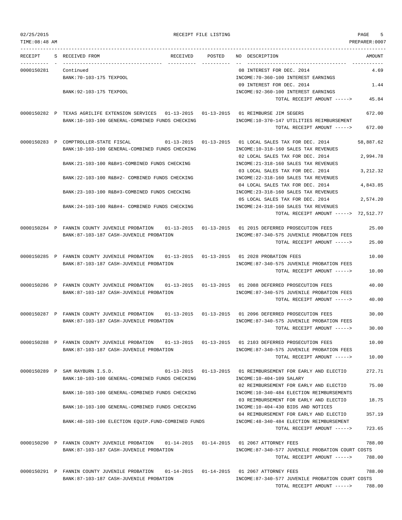| 02/25/2015 |  |  |  |  |
|------------|--|--|--|--|
|------------|--|--|--|--|

RECEIPT FILE LISTING **Example 2020** PAGE 5

| TIME: 08:48 AM |                                                                                                                           |                  |                                                                                                                    | PREPARER: 0007   |
|----------------|---------------------------------------------------------------------------------------------------------------------------|------------------|--------------------------------------------------------------------------------------------------------------------|------------------|
| RECEIPT        | S RECEIVED FROM<br>RECEIVED                                                                                               | POSTED           | NO DESCRIPTION                                                                                                     | AMOUNT           |
| 0000150281     | Continued<br>BANK: 70-103-175 TEXPOOL                                                                                     |                  | 08 INTEREST FOR DEC. 2014<br>INCOME: 70-360-100 INTEREST EARNINGS                                                  | 4.69             |
|                | BANK: 92-103-175 TEXPOOL                                                                                                  |                  | 09 INTEREST FOR DEC. 2014<br>INCOME: 92-360-100 INTEREST EARNINGS                                                  | 1.44             |
|                |                                                                                                                           |                  | TOTAL RECEIPT AMOUNT ----->                                                                                        | 45.84            |
|                | 0000150282 P TEXAS AGRILIFE EXTENSION SERVICES  01-13-2015  01-13-2015<br>BANK:10-103-100 GENERAL-COMBINED FUNDS CHECKING |                  | 01 REIMBURSE JIM SEGERS<br>INCOME:10-370-147 UTILITIES REIMBURSEMENT<br>TOTAL RECEIPT AMOUNT ----->                | 672.00<br>672.00 |
|                | 0000150283 P COMPTROLLER-STATE FISCAL<br>01-13-2015                                                                       | $01 - 13 - 2015$ | 01 LOCAL SALES TAX FOR DEC. 2014                                                                                   | 58,887.62        |
|                | BANK:10-103-100 GENERAL-COMBINED FUNDS CHECKING                                                                           |                  | INCOME:10-318-160 SALES TAX REVENUES<br>02 LOCAL SALES TAX FOR DEC. 2014                                           | 2,994.78         |
|                | BANK: 21-103-100 R&B#1-COMBINED FUNDS CHECKING                                                                            |                  | INCOME: 21-318-160 SALES TAX REVENUES<br>03 LOCAL SALES TAX FOR DEC. 2014                                          | 3, 212.32        |
|                | BANK: 22-103-100 R&B#2- COMBINED FUNDS CHECKING                                                                           |                  | INCOME: 22-318-160 SALES TAX REVENUES<br>04 LOCAL SALES TAX FOR DEC. 2014                                          | 4,843.85         |
|                | BANK:23-103-100 R&B#3-COMBINED FUNDS CHECKING                                                                             |                  | INCOME: 23-318-160 SALES TAX REVENUES                                                                              |                  |
|                | BANK: 24-103-100 R&B#4- COMBINED FUNDS CHECKING                                                                           |                  | 05 LOCAL SALES TAX FOR DEC. 2014<br>INCOME: 24-318-160 SALES TAX REVENUES<br>TOTAL RECEIPT AMOUNT -----> 72,512.77 | 2,574.20         |
|                | 0000150284 P FANNIN COUNTY JUVENILE PROBATION                                                                             |                  | 01-13-2015  01-13-2015  01  2015 DEFERRED PROSECUTION FEES                                                         | 25.00            |
|                | BANK:87-103-187 CASH-JUVENILE PROBATION                                                                                   |                  | INCOME:87-340-575 JUVENILE PROBATION FEES<br>TOTAL RECEIPT AMOUNT ----->                                           | 25.00            |
|                | 0000150285 P FANNIN COUNTY JUVENILE PROBATION<br>$01 - 13 - 2015$ $01 - 13 - 2015$                                        |                  | 01 2028 PROBATION FEES                                                                                             | 10.00            |
|                | BANK:87-103-187 CASH-JUVENILE PROBATION                                                                                   |                  | INCOME:87-340-575 JUVENILE PROBATION FEES<br>TOTAL RECEIPT AMOUNT ----->                                           | 10.00            |
|                | 0000150286 P FANNIN COUNTY JUVENILE PROBATION<br>BANK:87-103-187 CASH-JUVENILE PROBATION                                  |                  | 01-13-2015   01-13-2015   01   2088 DEFERRED PROSECUTION FEES<br>INCOME:87-340-575 JUVENILE PROBATION FEES         | 40.00            |
|                |                                                                                                                           |                  | TOTAL RECEIPT AMOUNT ----->                                                                                        | 40.00            |
|                | 0000150287 P FANNIN COUNTY JUVENILE PROBATION<br>BANK:87-103-187 CASH-JUVENILE PROBATION                                  |                  | 01-13-2015  01-13-2015  01  2096 DEFERRED PROSECUTION FEES<br>INCOME:87-340-575 JUVENILE PROBATION FEES            | 30.00            |
|                |                                                                                                                           |                  | TOTAL RECEIPT AMOUNT ----->                                                                                        | 30.00            |
|                | 0000150288 P FANNIN COUNTY JUVENILE PROBATION<br>BANK:87-103-187 CASH-JUVENILE PROBATION                                  |                  | 01-13-2015   01-13-2015   01   2103 DEFERRED PROSECUTION FEES<br>INCOME:87-340-575 JUVENILE PROBATION FEES         | 10.00            |
|                |                                                                                                                           |                  | TOTAL RECEIPT AMOUNT ----->                                                                                        | 10.00            |
|                | 0000150289 P SAM RAYBURN I.S.D.<br>BANK:10-103-100 GENERAL-COMBINED FUNDS CHECKING                                        |                  | 01-13-2015  01-13-2015  01 REIMBURSEMENT FOR EARLY AND ELECTIO<br>INCOME:10-404-109 SALARY                         | 272.71           |
|                | BANK:10-103-100 GENERAL-COMBINED FUNDS CHECKING                                                                           |                  | 02 REIMBURSEMENT FOR EARLY AND ELECTIO<br>INCOME:10-340-484 ELECTION REIMBURSEMENTS                                | 75.00            |
|                | BANK: 10-103-100 GENERAL-COMBINED FUNDS CHECKING                                                                          |                  | 03 REIMBURSEMENT FOR EARLY AND ELECTIO<br>INCOME:10-404-430 BIDS AND NOTICES                                       | 18.75            |
|                | BANK: 48-103-100 ELECTION EQUIP. FUND-COMBINED FUNDS                                                                      |                  | 04 REIMBURSEMENT FOR EARLY AND ELECTIO<br>INCOME: 48-340-484 ELECTION REIMBURSEMENT                                | 357.19           |
|                |                                                                                                                           |                  | TOTAL RECEIPT AMOUNT ----->                                                                                        | 723.65           |
|                | 0000150290 P FANNIN COUNTY JUVENILE PROBATION<br>BANK:87-103-187 CASH-JUVENILE PROBATION                                  |                  | 01-14-2015  01-14-2015  01  2067 ATTORNEY FEES<br>INCOME:87-340-577 JUVENILE PROBATION COURT COSTS                 | 788.00           |
|                |                                                                                                                           |                  | TOTAL RECEIPT AMOUNT ----->                                                                                        | 788.00           |
|                | 0000150291 P FANNIN COUNTY JUVENILE PROBATION<br>BANK:87-103-187 CASH-JUVENILE PROBATION                                  |                  | 01-14-2015  01-14-2015  01  2067 ATTORNEY FEES<br>INCOME:87-340-577 JUVENILE PROBATION COURT COSTS                 | 788.00           |

TOTAL RECEIPT AMOUNT -----> 788.00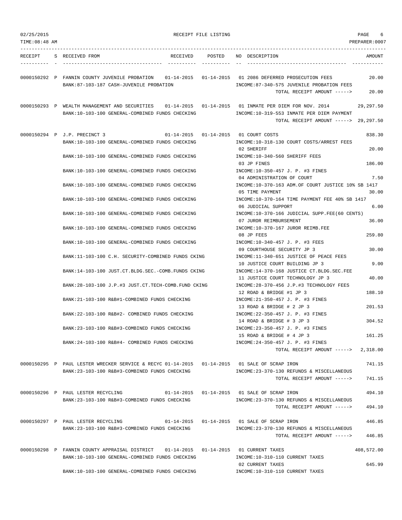| 02/25/2015<br>TIME: 08:48 AM | RECEIPT FILE LISTING                                                                                                             |                                                                                                                                                | PAGE<br>6<br>PREPARER:0007 |
|------------------------------|----------------------------------------------------------------------------------------------------------------------------------|------------------------------------------------------------------------------------------------------------------------------------------------|----------------------------|
|                              | RECEIPT S RECEIVED FROM<br>RECEIVED                                                                                              | POSTED NO DESCRIPTION                                                                                                                          | AMOUNT                     |
|                              | 0000150292 P FANNIN COUNTY JUVENILE PROBATION<br>BANK:87-103-187 CASH-JUVENILE PROBATION                                         | 01-14-2015   01-14-2015   01   2086 DEFERRED PROSECUTION FEES<br>INCOME:87-340-575 JUVENILE PROBATION FEES<br>TOTAL RECEIPT AMOUNT ----->      | 20.00<br>20.00             |
|                              | 0000150293 P WEALTH MANAGEMENT AND SECURITIES<br>BANK:10-103-100 GENERAL-COMBINED FUNDS CHECKING                                 | 01-14-2015  01-14-2015  01 INMATE PER DIEM FOR NOV. 2014<br>INCOME:10-319-553 INMATE PER DIEM PAYMENT<br>TOTAL RECEIPT AMOUNT -----> 29,297.50 | 29,297.50                  |
|                              | 0000150294 P J.P. PRECINCT 3<br>01-14-2015    01-14-2015    01    COURT COSTS<br>BANK:10-103-100 GENERAL-COMBINED FUNDS CHECKING | INCOME:10-318-130 COURT COSTS/ARREST FEES<br>02 SHERIFF                                                                                        | 838.30<br>20.00            |
|                              | BANK:10-103-100 GENERAL-COMBINED FUNDS CHECKING                                                                                  | INCOME:10-340-560 SHERIFF FEES<br>03 JP FINES                                                                                                  | 186.00                     |
|                              | BANK:10-103-100 GENERAL-COMBINED FUNDS CHECKING                                                                                  | INCOME:10-350-457 J. P. #3 FINES<br>04 ADMINISTRATION OF COURT                                                                                 | 7.50                       |
|                              | BANK:10-103-100 GENERAL-COMBINED FUNDS CHECKING                                                                                  | INCOME:10-370-163 ADM.OF COURT JUSTICE 10% SB 1417<br>05 TIME PAYMENT                                                                          | 30.00                      |
|                              | BANK:10-103-100 GENERAL-COMBINED FUNDS CHECKING                                                                                  | INCOME:10-370-164 TIME PAYMENT FEE 40% SB 1417<br>06 JUDICIAL SUPPORT                                                                          | 6.00                       |
|                              | BANK:10-103-100 GENERAL-COMBINED FUNDS CHECKING                                                                                  | INCOME:10-370-166 JUDICIAL SUPP.FEE(60 CENTS)<br>07 JUROR REIMBURSEMENT                                                                        | 36.00                      |
|                              | BANK:10-103-100 GENERAL-COMBINED FUNDS CHECKING                                                                                  | INCOME:10-370-167 JUROR REIMB.FEE<br>08 JP FEES                                                                                                | 259.80                     |
|                              | BANK:10-103-100 GENERAL-COMBINED FUNDS CHECKING<br>BANK:11-103-100 C.H. SECURITY-COMBINED FUNDS CKING                            | INCOME:10-340-457 J. P. #3 FEES<br>09 COURTHOUSE SECURITY JP 3<br>INCOME:11-340-651 JUSTICE OF PEACE FEES                                      | 30.00                      |
|                              | BANK:14-103-100 JUST.CT.BLDG.SEC.-COMB.FUNDS CKING                                                                               | 10 JUSTICE COURT BUILDING JP 3<br>INCOME:14-370-168 JUSTICE CT.BLDG.SEC.FEE                                                                    | 9.00                       |
|                              | BANK: 28-103-100 J.P.#3 JUST.CT. TECH-COMB. FUND CKING                                                                           | 11 JUSTICE COURT TECHNOLOGY JP 3<br>INCOME: 28-370-456 J.P.#3 TECHNOLOGY FEES                                                                  | 40.00                      |
|                              | BANK:21-103-100 R&B#1-COMBINED FUNDS CHECKING                                                                                    | 12 ROAD & BRIDGE #1 JP 3<br>INCOME: 21-350-457 J. P. #3 FINES                                                                                  | 188.10                     |
|                              | BANK: 22-103-100 R&B#2- COMBINED FUNDS CHECKING                                                                                  | 13 ROAD & BRIDGE # 2 JP 3<br>INCOME: 22-350-457 J. P. #3 FINES                                                                                 | 201.53<br>304.52           |
|                              | BANK: 23-103-100 R&B#3-COMBINED FUNDS CHECKING                                                                                   | 14 ROAD & BRIDGE # 3 JP 3<br>INCOME: 23-350-457 J. P. #3 FINES<br>15 ROAD & BRIDGE # 4 JP 3                                                    | 161.25                     |
|                              | BANK:24-103-100 R&B#4- COMBINED FUNDS CHECKING                                                                                   | INCOME: 24-350-457 J. P. #3 FINES<br>TOTAL RECEIPT AMOUNT ----->                                                                               | 2,318.00                   |
|                              | 0000150295 P PAUL LESTER WRECKER SERVICE & RECYC 01-14-2015 01-14-2015 01 SALE OF SCRAP IRON                                     |                                                                                                                                                | 741.15                     |
|                              | BANK:23-103-100 R&B#3-COMBINED FUNDS CHECKING                                                                                    | INCOME: 23-370-130 REFUNDS & MISCELLANEOUS<br>TOTAL RECEIPT AMOUNT ----->                                                                      | 741.15                     |
|                              | 0000150296 P PAUL LESTER RECYCLING<br>BANK:23-103-100 R&B#3-COMBINED FUNDS CHECKING                                              | 01-14-2015  01-14-2015  01 SALE OF SCRAP IRON<br>INCOME: 23-370-130 REFUNDS & MISCELLANEOUS<br>TOTAL RECEIPT AMOUNT ----->                     | 494.10<br>494.10           |
|                              | 0000150297 P PAUL LESTER RECYCLING                                                                                               | 01-14-2015  01-14-2015  01 SALE OF SCRAP IRON                                                                                                  | 446.85                     |
|                              | BANK:23-103-100 R&B#3-COMBINED FUNDS CHECKING                                                                                    | INCOME: 23-370-130 REFUNDS & MISCELLANEOUS<br>TOTAL RECEIPT AMOUNT ----->                                                                      | 446.85                     |
|                              | 0000150298 P FANNIN COUNTY APPRAISAL DISTRICT<br>BANK:10-103-100 GENERAL-COMBINED FUNDS CHECKING                                 | INCOME:10-310-110 CURRENT TAXES                                                                                                                | 408,572.00                 |
|                              | BANK:10-103-100 GENERAL-COMBINED FUNDS CHECKING                                                                                  | 02 CURRENT TAXES<br>INCOME:10-310-110 CURRENT TAXES                                                                                            | 645.99                     |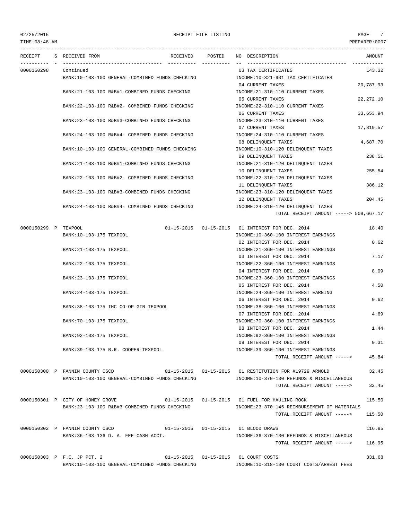## 02/25/2015 RECEIPT FILE LISTING PAGE 7 TIME:08:48 AM PREPARER:0007

--------------------------------------------------------------------------------------------------------------------------------- RECEIPT S RECEIVED FROM THE RECEIVED POSTED NO DESCRIPTION THE RECEIVED AMOUNT ---------- - ----------------------------------- ---------- ---------- -- ----------------------------------- ----------- 0000150298 Continued 03 TAX CERTIFICATES 143.32 BANK:10-103-100 GENERAL-COMBINED FUNDS CHECKING INCOME:10-321-901 TAX CERTIFICATES 04 CURRENT TAXES 20,787.93 BANK:21-103-100 R&B#1-COMBINED FUNDS CHECKING INCOME:21-310-110 CURRENT TAXES 05 CURRENT TAXES 22,272.10 BANK:22-103-100 R&B#2- COMBINED FUNDS CHECKING INCOME:22-310-110 CURRENT TAXES 06 CURRENT TAXES 33,653.94 BANK:23-103-100 R&B#3-COMBINED FUNDS CHECKING INCOME:23-310-110 CURRENT TAXES 07 CURRENT TAXES 17,819.57 BANK:24-103-100 R&B#4- COMBINED FUNDS CHECKING INCOME:24-310-110 CURRENT TAXES 08 DELINQUENT TAXES 4,687.70 BANK:10-103-100 GENERAL-COMBINED FUNDS CHECKING INCOME:10-310-120 DELINQUENT TAXES 09 DELINQUENT TAXES 238.51 BANK:21-103-100 R&B#1-COMBINED FUNDS CHECKING INCOME:21-310-120 DELINQUENT TAXES 10 DELINQUENT TAXES 255.54 BANK:22-103-100 R&B#2- COMBINED FUNDS CHECKING INCOME:22-310-120 DELINQUENT TAXES 11 DELINQUENT TAXES 386.12 BANK:23-103-100 R&B#3-COMBINED FUNDS CHECKING INCOME:23-310-120 DELINQUENT TAXES 12 DELINQUENT TAXES 204.45 BANK:24-103-100 R&B#4- COMBINED FUNDS CHECKING INCOME:24-310-120 DELINQUENT TAXES TOTAL RECEIPT AMOUNT -----> 509,667.17 0000150299 P TEXPOOL 01-15-2015 01-15-2015 01 INTEREST FOR DEC. 2014 18.40 BANK:10-103-175 TEXPOOL SANK:10-103-175 TEXPOOL SANK:10-360-100 INTEREST EARNINGS 02 INTEREST FOR DEC. 2014 0.62 BANK:21-103-175 TEXPOOL SANTO THE SERVICE OF THE SERVICE OF THE SERVICE OF THE SERVICE OF THE SERVINGS 03 INTEREST FOR DEC. 2014 7.17 BANK:22-103-175 TEXPOOL 6 6 CONFERENT EARNINGS INCOME:22-360-100 INTEREST EARNINGS 04 INTEREST FOR DEC. 2014 8.09 BANK:23-103-175 TEXPOOL INCOME:23-360-100 INTEREST EARNINGS 05 INTEREST FOR DEC. 2014 4.50 BANK:24-103-175 TEXPOOL SERVICE SUPERFOUND A REPORT OF THE SERVICE SERVICE SERVING 06 INTEREST FOR DEC. 2014 0.62 BANK:38-103-175 IHC CO-OP GIN TEXPOOL INCOME:38-360-100 INTEREST EARNINGS 07 INTEREST FOR DEC. 2014 4.69 BANK:70-103-175 TEXPOOL INCOME:70-360-100 INTEREST EARNINGS 08 INTEREST FOR DEC. 2014 1.44 BANK:92-103-175 TEXPOOL INCOME:92-360-100 INTEREST EARNINGS 09 INTEREST FOR DEC. 2014 0.31 BANK:39-103-175 B.R. COOPER-TEXPOOL INCOME:39-360-100 INTEREST EARNINGS TOTAL RECEIPT AMOUNT -----> 45.84 0000150300 P FANNIN COUNTY CSCD 01-15-2015 01-15-2015 01 RESTITUTION FOR #19729 ARNOLD 32.45 BANK:10-103-100 GENERAL-COMBINED FUNDS CHECKING INCOME:10-370-130 REFUNDS & MISCELLANEOUS TOTAL RECEIPT AMOUNT -----> 32.45 0000150301 P CITY OF HONEY GROVE 01-15-2015 01-15-2015 01 FUEL FOR HAULING ROCK 115.50 BANK:23-103-100 R&B#3-COMBINED FUNDS CHECKING INCOME:23-370-145 REIMBURSEMENT OF MATERIALS TOTAL RECEIPT AMOUNT -----> 115.50 0000150302 P FANNIN COUNTY CSCD 01-15-2015 01-15-2015 01 BLOOD DRAWS 116.95 BANK:36-103-136 D. A. FEE CASH ACCT. INCOME:36-370-130 REFUNDS & MISCELLANEOUS TOTAL RECEIPT AMOUNT -----> 116.95 0000150303 P F.C. JP PCT. 2 01-15-2015 01-15-2015 01 COURT COSTS 331.68 BANK:10-103-100 GENERAL-COMBINED FUNDS CHECKING INCOME:10-318-130 COURT COSTS/ARREST FEES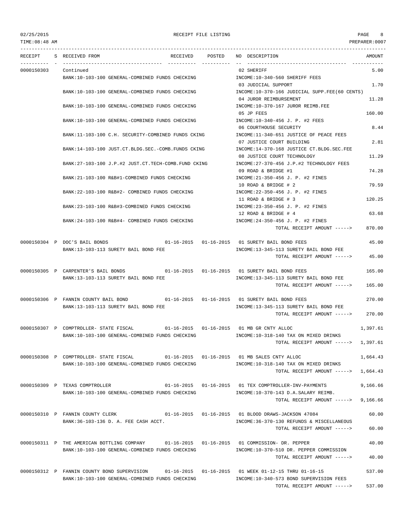TIME:08:48 AM PREPARER:0007

## 02/25/2015 RECEIPT FILE LISTING PAGE 8

TOTAL RECEIPT AMOUNT -----> 537.00

--------------------------------------------------------------------------------------------------------------------------------- RECEIPT S RECEIVED FROM THE RECEIVED POSTED NO DESCRIPTION THE RECEIVED AMOUNT ---------- - ----------------------------------- ---------- ---------- -- ----------------------------------- ----------- 0000150303 Continued 02 SHERIFF 5.00 BANK:10-103-100 GENERAL-COMBINED FUNDS CHECKING **INCOME:10-340-560 SHERIFF FEES** 03 JUDICIAL SUPPORT 1.70 BANK:10-103-100 GENERAL-COMBINED FUNDS CHECKING INCOME:10-370-166 JUDICIAL SUPP.FEE(60 CENTS) 04 JUROR REIMBURSEMENT 11.28 BANK:10-103-100 GENERAL-COMBINED FUNDS CHECKING INCOME:10-370-167 JUROR REIMB.FEE 05 JP FEES 160.00 BANK:10-103-100 GENERAL-COMBINED FUNDS CHECKING INCOME:10-340-456 J. P. #2 FEES 06 COURTHOUSE SECURITY 8.44 BANK:11-103-100 C.H. SECURITY-COMBINED FUNDS CKING INCOME:11-340-651 JUSTICE OF PEACE FEES 07 JUSTICE COURT BUILDING 2.81 BANK:14-103-100 JUST.CT.BLDG.SEC.-COMB.FUNDS CKING INCOME:14-370-168 JUSTICE CT.BLDG.SEC.FEE 08 JUSTICE COURT TECHNOLOGY 11.29 BANK:27-103-100 J.P.#2 JUST.CT.TECH-COMB.FUND CKING INCOME:27-370-456 J.P.#2 TECHNOLOGY FEES 09 ROAD & BRIDGE #1 74.28 BANK:21-103-100 R&B#1-COMBINED FUNDS CHECKING INCOME:21-350-456 J. P. #2 FINES 10 ROAD & BRIDGE # 2 79.59 BANK:22-103-100 R&B#2- COMBINED FUNDS CHECKING INCOME:22-350-456 J. P. #2 FINES 11 ROAD & BRIDGE # 3 120.25 BANK:23-103-100 R&B#3-COMBINED FUNDS CHECKING INCOME:23-350-456 J. P. #2 FINES 12 ROAD & BRIDGE # 4 63.68 BANK:24-103-100 R&B#4- COMBINED FUNDS CHECKING INCOME:24-350-456 J. P. #2 FINES TOTAL RECEIPT AMOUNT -----> 870.00 0000150304 P DOC'S BAIL BONDS 01-16-2015 01-16-2015 01 SURETY BAIL BOND FEES 45.00 BANK:13-103-113 SURETY BAIL BOND FEE INCOME:13-345-113 SURETY BAIL BOND FEE TOTAL RECEIPT AMOUNT -----> 45.00 0000150305 P CARPENTER'S BAIL BONDS 01-16-2015 01-16-2015 01 SURETY BAIL BOND FEES 165.00 BANK:13-103-113 SURETY BAIL BOND FEE INCOME:13-345-113 SURETY BAIL BOND FEE TOTAL RECEIPT AMOUNT -----> 165.00 0000150306 P FANNIN COUNTY BAIL BOND 01-16-2015 01-16-2015 01 SURETY BAIL BOND FEES 270.00 BANK:13-103-113 SURETY BAIL BOND FEE INCOME:13-345-113 SURETY BAIL BOND FEE TOTAL RECEIPT AMOUNT -----> 270.00 0000150307 P COMPTROLLER- STATE FISCAL 01-16-2015 01-16-2015 01 MB GR CNTY ALLOC 1,397.61 BANK:10-103-100 GENERAL-COMBINED FUNDS CHECKING INCOME:10-318-140 TAX ON MIXED DRINKS TOTAL RECEIPT AMOUNT -----> 1,397.61 0000150308 P COMPTROLLER- STATE FISCAL 01-16-2015 01-16-2015 01 MB SALES CNTY ALLOC 1,664.43 BANK:10-103-100 GENERAL-COMBINED FUNDS CHECKING INCOME:10-318-140 TAX ON MIXED DRINKS TOTAL RECEIPT AMOUNT -----> 1,664.43 0000150309 P TEXAS COMPTROLLER 01-16-2015 01-16-2015 01 TEX COMPTROLLER-INV-PAYMENTS 9,166.66 BANK:10-103-100 GENERAL-COMBINED FUNDS CHECKING INCOME:10-370-143 D.A.SALARY REIMB. TOTAL RECEIPT AMOUNT -----> 9,166.66 0000150310 P FANNIN COUNTY CLERK 01-16-2015 01-16-2015 01 BLOOD DRAWS-JACKSON 47084 60.00 BANK:36-103-136 D. A. FEE CASH ACCT. INCOME:36-370-130 REFUNDS & MISCELLANEOUS TOTAL RECEIPT AMOUNT -----> 60.00 0000150311 P THE AMERICAN BOTTLING COMPANY 01-16-2015 01-16-2015 01 COMMISSION- DR. PEPPER 40.00 BANK:10-103-100 GENERAL-COMBINED FUNDS CHECKING INCOME:10-370-510 DR. PEPPER COMMISSION TOTAL RECEIPT AMOUNT -----> 40.00 0000150312 P FANNIN COUNTY BOND SUPERVISION 01-16-2015 01-16-2015 01 WEEK 01-12-15 THRU 01-16-15 537.00 BANK:10-103-100 GENERAL-COMBINED FUNDS CHECKING INCOME:10-340-573 BOND SUPERVISION FEES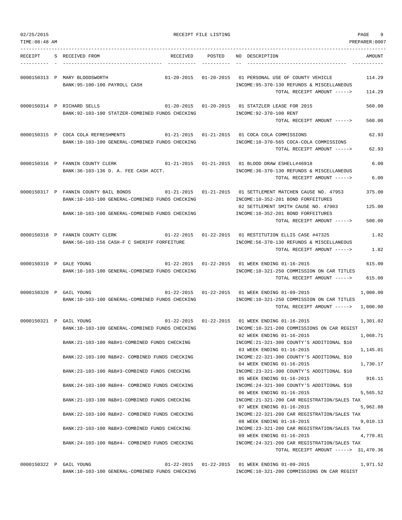| 02/25/2015     |                                                                                                                                       | RECEIPT FILE LISTING |                                                                                                                                              | 9<br>PAGE            |
|----------------|---------------------------------------------------------------------------------------------------------------------------------------|----------------------|----------------------------------------------------------------------------------------------------------------------------------------------|----------------------|
| TIME: 08:48 AM |                                                                                                                                       |                      |                                                                                                                                              | PREPARER: 0007       |
| RECEIPT        | S RECEIVED FROM<br>RECEIVED                                                                                                           | POSTED               | NO DESCRIPTION                                                                                                                               | AMOUNT               |
|                | 0000150313 P MARY BLOODSWORTH<br>BANK: 95-100-100 PAYROLL CASH                                                                        |                      | 01-20-2015   01-20-2015   01 PERSONAL USE OF COUNTY VEHICLE<br>INCOME: 95-370-130 REFUNDS & MISCELLANEOUS                                    | 114.29               |
|                | 0000150314 P RICHARD SELLS                                                                                                            |                      | TOTAL RECEIPT AMOUNT ----->                                                                                                                  | 114.29<br>560.00     |
|                | BANK:92-103-100 STATZER-COMBINED FUNDS CHECKING                                                                                       |                      | INCOME: 92-370-100 RENT<br>TOTAL RECEIPT AMOUNT ----->                                                                                       | 560.00               |
|                | 0000150315 P COCA COLA REFRESHMENTS 01-21-2015 01-21-2015 01 COCA COLA COMMISSIONS<br>BANK:10-103-100 GENERAL-COMBINED FUNDS CHECKING |                      | INCOME:10-370-565 COCA-COLA COMMISSIONS                                                                                                      | 62.93                |
|                |                                                                                                                                       |                      | TOTAL RECEIPT AMOUNT ----->                                                                                                                  | 62.93                |
|                | 0000150316 P FANNIN COUNTY CLERK<br>BANK: 36-103-136 D. A. FEE CASH ACCT.                                                             |                      | 01-21-2015  01-21-2015  01 BLOOD DRAW ESHELL#46918<br>INCOME: 36-370-130 REFUNDS & MISCELLANEOUS<br>TOTAL RECEIPT AMOUNT ----->              | 6.00<br>6.00         |
|                | 0000150317 P FANNIN COUNTY BAIL BONDS<br>BANK:10-103-100 GENERAL-COMBINED FUNDS CHECKING                                              |                      | 01-21-2015   01-21-2015   01 SETTLEMENT MATCHEN CAUSE NO. 47953<br>INCOME:10-352-201 BOND FORFEITURES<br>02 SETTLEMENT SMITH CAUSE NO. 47903 | 375.00<br>125.00     |
|                | BANK:10-103-100 GENERAL-COMBINED FUNDS CHECKING                                                                                       |                      | INCOME:10-352-201 BOND FORFEITURES<br>TOTAL RECEIPT AMOUNT ----->                                                                            | 500.00               |
|                | 0000150318 P FANNIN COUNTY CLERK<br>BANK: 56-103-156 CASH-F C SHERIFF FORFEITURE                                                      |                      | INCOME: 56-370-130 REFUNDS & MISCELLANEOUS<br>TOTAL RECEIPT AMOUNT ----->                                                                    | 1.82<br>1.82         |
|                | 0000150319 P GALE YOUNG<br>BANK:10-103-100 GENERAL-COMBINED FUNDS CHECKING                                                            |                      | 01-22-2015  01-22-2015  01 WEEK ENDING  01-16-2015<br>INCOME:10-321-250 COMMISSION ON CAR TITLES<br>TOTAL RECEIPT AMOUNT ----->              | 615.00<br>615.00     |
|                | 0000150320 P GAIL YOUNG<br>BANK:10-103-100 GENERAL-COMBINED FUNDS CHECKING                                                            |                      | 01-22-2015  01-22-2015  01 WEEK ENDING  01-09-2015<br>INCOME:10-321-250 COMMISSION ON CAR TITLES<br>TOTAL RECEIPT AMOUNT $---2$ 1,000.00     | 1,000.00             |
|                | 0000150321 P GAIL YOUNG<br>BANK:10-103-100 GENERAL-COMBINED FUNDS CHECKING                                                            |                      | 01-22-2015  01-22-2015  01 WEEK ENDING  01-16-2015<br>INCOME:10-321-200 COMMISSIONS ON CAR REGIST<br>02 WEEK ENDING 01-16-2015               | 1,301.02<br>1,068.71 |
|                | BANK: 21-103-100 R&B#1-COMBINED FUNDS CHECKING                                                                                        |                      | INCOME: 21-321-300 COUNTY'S ADDITIONAL \$10<br>03 WEEK ENDING 01-16-2015                                                                     | 1,145.01             |
|                | BANK: 22-103-100 R&B#2- COMBINED FUNDS CHECKING<br>BANK: 23-103-100 R&B#3-COMBINED FUNDS CHECKING                                     |                      | INCOME: 22-321-300 COUNTY'S ADDITIONAL \$10<br>04 WEEK ENDING 01-16-2015<br>INCOME: 23-321-300 COUNTY'S ADDITIONAL \$10                      | 1,730.17             |
|                | BANK: 24-103-100 R&B#4- COMBINED FUNDS CHECKING                                                                                       |                      | 05 WEEK ENDING 01-16-2015<br>INCOME: 24-321-300 COUNTY'S ADDITIONAL \$10                                                                     | 916.11               |
|                | BANK: 21-103-100 R&B#1-COMBINED FUNDS CHECKING                                                                                        |                      | 06 WEEK ENDING 01-16-2015<br>INCOME: 21-321-200 CAR REGISTRATION/SALES TAX                                                                   | 5,565.52             |
|                | BANK: 22-103-100 R&B#2- COMBINED FUNDS CHECKING                                                                                       |                      | 07 WEEK ENDING 01-16-2015<br>INCOME: 22-321-200 CAR REGISTRATION/SALES TAX<br>08 WEEK ENDING 01-16-2015                                      | 5,962.88<br>9,010.13 |
|                | BANK: 23-103-100 R&B#3-COMBINED FUNDS CHECKING                                                                                        |                      | INCOME: 23-321-200 CAR REGISTRATION/SALES TAX<br>09 WEEK ENDING 01-16-2015                                                                   | 4,770.81             |
|                | BANK:24-103-100 R&B#4- COMBINED FUNDS CHECKING                                                                                        |                      | INCOME:24-321-200 CAR REGISTRATION/SALES TAX<br>TOTAL RECEIPT AMOUNT -----> 31,470.36                                                        |                      |
|                | 0000150322 P GAIL YOUNG<br>BANK:10-103-100 GENERAL-COMBINED FUNDS CHECKING                                                            |                      | 01-22-2015  01-22-2015  01 WEEK ENDING 01-09-2015<br>INCOME:10-321-200 COMMISSIONS ON CAR REGIST                                             | 1,971.52             |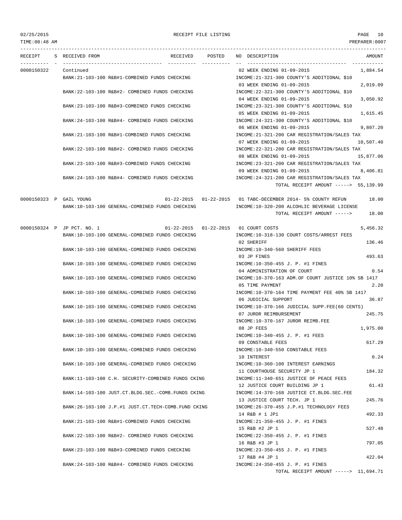## 02/25/2015 RECEIPT FILE LISTING PAGE 10

TIME:08:48 AM PREPARER:0007 --------------------------------------------------------------------------------------------------------------------------------- RECEIPT S RECEIVED FROM THE RECEIVED POSTED NO DESCRIPTION THE RECEIVED AMOUNT ---------- - ----------------------------------- ---------- ---------- -- ----------------------------------- ----------- 0000150322 Continued 02 WEEK ENDING 01-09-2015 1,884.54 BANK:21-103-100 R&B#1-COMBINED FUNDS CHECKING INCOME:21-321-300 COUNTY'S ADDITIONAL \$10 03 WEEK ENDING 01-09-2015 2,019.09 BANK:22-103-100 R&B#2- COMBINED FUNDS CHECKING INCOME:22-321-300 COUNTY'S ADDITIONAL \$10 04 WEEK ENDING 01-09-2015 3,050.92 BANK:23-103-100 R&B#3-COMBINED FUNDS CHECKING INCOME:23-321-300 COUNTY'S ADDITIONAL \$10 05 WEEK ENDING 01-09-2015 1,615.45 BANK:24-103-100 R&B#4- COMBINED FUNDS CHECKING INCOME:24-321-300 COUNTY'S ADDITIONAL \$10 06 WEEK ENDING 01-09-2015 9,807.20 BANK:21-103-100 R&B#1-COMBINED FUNDS CHECKING INCOME:21-321-200 CAR REGISTRATION/SALES TAX 07 WEEK ENDING 01-09-2015 10,507.40 BANK:22-103-100 R&B#2- COMBINED FUNDS CHECKING INCOME:22-321-200 CAR REGISTRATION/SALES TAX 08 WEEK ENDING 01-09-2015 15,877.06 BANK:23-103-100 R&B#3-COMBINED FUNDS CHECKING INCOME:23-321-200 CAR REGISTRATION/SALES TAX 09 WEEK ENDING 01-09-2015 8,406.81 BANK:24-103-100 R&B#4- COMBINED FUNDS CHECKING INCOME:24-321-200 CAR REGISTRATION/SALES TAX TOTAL RECEIPT AMOUNT -----> 55,139.99 0000150323 P GAIL YOUNG 01-22-2015 01-22-2015 01 TABC-DECEMBER 2014- 5% COUNTY REFUN 18.00 BANK:10-103-100 GENERAL-COMBINED FUNDS CHECKING INCOME:10-320-200 ALCOHLIC BEVERAGE LICENSE TOTAL RECEIPT AMOUNT -----> 18.00 0000150324 P JP PCT. NO. 1 01-22-2015 01-22-2015 01 COURT COSTS 5,456.32 BANK:10-103-100 GENERAL-COMBINED FUNDS CHECKING INCOME:10-318-130 COURT COSTS/ARREST FEES 02 SHERIFF 136.46 BANK:10-103-100 GENERAL-COMBINED FUNDS CHECKING INCOME:10-340-560 SHERIFF FEES 03 JP FINES 493.63 BANK:10-103-100 GENERAL-COMBINED FUNDS CHECKING INCOME:10-350-455 J. P. #1 FINES 04 ADMINISTRATION OF COURT 0.54 BANK:10-103-100 GENERAL-COMBINED FUNDS CHECKING INCOME:10-370-163 ADM.OF COURT JUSTICE 10% SB 1417 05 TIME PAYMENT 2.20 BANK:10-103-100 GENERAL-COMBINED FUNDS CHECKING INCOME:10-370-164 TIME PAYMENT FEE 40% SB 1417 06 JUDICIAL SUPPORT 36.87 BANK:10-103-100 GENERAL-COMBINED FUNDS CHECKING INCOME:10-370-166 JUDICIAL SUPP.FEE(60 CENTS) 07 JUROR REIMBURSEMENT 245.75 BANK:10-103-100 GENERAL-COMBINED FUNDS CHECKING INCOME:10-370-167 JUROR REIMB.FEE 08 JP FEES 1,975.00 BANK:10-103-100 GENERAL-COMBINED FUNDS CHECKING INCOME:10-340-455 J. P. #1 FEES 09 CONSTABLE FEES 617.29 BANK:10-103-100 GENERAL-COMBINED FUNDS CHECKING INCOME:10-340-550 CONSTABLE FEES 10 INTEREST 0.24 BANK:10-103-100 GENERAL-COMBINED FUNDS CHECKING INCOME:10-360-100 INTEREST EARNINGS 11 COURTHOUSE SECURITY JP 1 184.32 BANK:11-103-100 C.H. SECURITY-COMBINED FUNDS CKING INCOME:11-340-651 JUSTICE OF PEACE FEES 12 JUSTICE COURT BUILDING JP 1 61.43 BANK:14-103-100 JUST.CT.BLDG.SEC.-COMB.FUNDS CKING INCOME:14-370-168 JUSTICE CT.BLDG.SEC.FEE 13 JUSTICE COURT TECH. JP 1 245.76 BANK:26-103-100 J.P.#1 JUST.CT.TECH-COMB.FUND CKING INCOME:26-370-455 J.P.#1 TECHNOLOGY FEES 14 R&B # 1 JP1 492.33 BANK:21-103-100 R&B#1-COMBINED FUNDS CHECKING INCOME:21-350-455 J. P. #1 FINES 15 R&B #2 JP 1 527.48 BANK:22-103-100 R&B#2- COMBINED FUNDS CHECKING INCOME:22-350-455 J. P. #1 FINES 16 R&B #3 JP 1 797.05 BANK:23-103-100 R&B#3-COMBINED FUNDS CHECKING INCOME:23-350-455 J. P. #1 FINES 17 R&B #4 JP 1 422.04 BANK:24-103-100 R&B#4- COMBINED FUNDS CHECKING INCOME:24-350-455 J. P. #1 FINES TOTAL RECEIPT AMOUNT -----> 11,694.71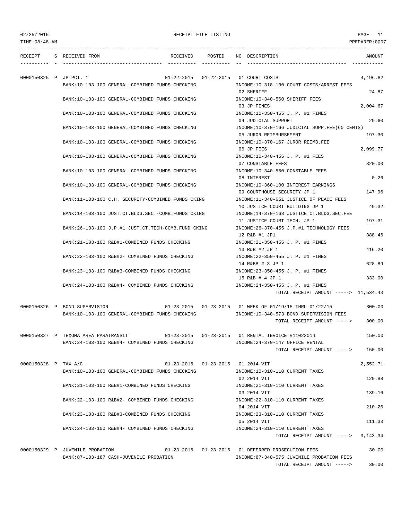---------------------------------------------------------------------------------------------------------------------------------

RECEIPT S RECEIVED FROM THE RECEIVED POSTED NO DESCRIPTION THE RECEIVED AMOUNT ---------- - ----------------------------------- ---------- ---------- -- ----------------------------------- ----------- 0000150325 P JP PCT. 1 01-22-2015 01-22-2015 01 COURT COSTS 4,196.82 BANK:10-103-100 GENERAL-COMBINED FUNDS CHECKING INCOME:10-318-130 COURT COSTS/ARREST FEES 02 SHERIFF 24.87 BANK:10-103-100 GENERAL-COMBINED FUNDS CHECKING INCOME:10-340-560 SHERIFF FEES 03 JP FINES 2,004.67 BANK:10-103-100 GENERAL-COMBINED FUNDS CHECKING INCOME:10-350-455 J. P. #1 FINES 04 JUDICIAL SUPPORT 29.60 BANK:10-103-100 GENERAL-COMBINED FUNDS CHECKING INCOME:10-370-166 JUDICIAL SUPP.FEE(60 CENTS) 05 JUROR REIMBURSEMENT 197.30 BANK:10-103-100 GENERAL-COMBINED FUNDS CHECKING  $N = 10-370-167$  JUROR REIMB.FEE 06 JP FEES 2,099.77 BANK:10-103-100 GENERAL-COMBINED FUNDS CHECKING INCOME:10-340-455 J. P. #1 FEES 07 CONSTABLE FEES 820.00 BANK:10-103-100 GENERAL-COMBINED FUNDS CHECKING INCOME:10-340-550 CONSTABLE FEES 08 INTEREST 0.26 BANK:10-103-100 GENERAL-COMBINED FUNDS CHECKING INCOME:10-360-100 INTEREST EARNINGS 09 COURTHOUSE SECURITY JP 1 147.96 BANK:11-103-100 C.H. SECURITY-COMBINED FUNDS CKING INCOME:11-340-651 JUSTICE OF PEACE FEES 10 JUSTICE COURT BUILDING JP 1 49.32 BANK:14-103-100 JUST.CT.BLDG.SEC.-COMB.FUNDS CKING INCOME:14-370-168 JUSTICE CT.BLDG.SEC.FEE 11 JUSTICE COURT TECH. JP 1 197.31 BANK:26-103-100 J.P.#1 JUST.CT.TECH-COMB.FUND CKING INCOME:26-370-455 J.P.#1 TECHNOLOGY FEES 12 R&B #1 JP1 388.46 BANK:21-103-100 R&B#1-COMBINED FUNDS CHECKING INCOME:21-350-455 J. P. #1 FINES 13 R&B #2 JP 1 416.20 BANK:22-103-100 R&B#2- COMBINED FUNDS CHECKING INCOME:22-350-455 J. P. #1 FINES 14 R&BB # 3 JP 1 628.89 BANK:23-103-100 R&B#3-COMBINED FUNDS CHECKING INCOME:23-350-455 J. P. #1 FINES 15 R&B # 4 JP 1 333.00 BANK:24-103-100 R&B#4- COMBINED FUNDS CHECKING INCOME:24-350-455 J. P. #1 FINES TOTAL RECEIPT AMOUNT -----> 11,534.43 0000150326 P BOND SUPERVISION 01-23-2015 01-23-2015 01 WEEK OF 01/19/15 THRU 01/22/15 300.00 BANK:10-103-100 GENERAL-COMBINED FUNDS CHECKING INCOME:10-340-573 BOND SUPERVISION FEES TOTAL RECEIPT AMOUNT -----> 300.00 0000150327 P TEXOMA AREA PARATRANSIT 01-23-2015 01-23-2015 01 RENTAL INVOICE #11022014 150.00 BANK:24-103-100 R&B#4- COMBINED FUNDS CHECKING INCOME:24-370-147 OFFICE RENTAL TOTAL RECEIPT AMOUNT -----> 150.00 0000150328 P TAX A/C 01-23-2015 01-23-2015 01 2014 VIT 2,552.71 BANK:10-103-100 GENERAL-COMBINED FUNDS CHECKING INCOME:10-310-110 CURRENT TAXES 02 2014 VIT 129.88 BANK:21-103-100 R&B#1-COMBINED FUNDS CHECKING INCOME:21-310-110 CURRENT TAXES 03 2014 VIT 2015 139.16 BANK:22-103-100 R&B#2- COMBINED FUNDS CHECKING INCOME:22-310-110 CURRENT TAXES 04 2014 VIT 210.26 BANK:23-103-100 R&B#3-COMBINED FUNDS CHECKING INCOME:23-310-110 CURRENT TAXES 05 2014 VIT 111.33 BANK:24-103-100 R&B#4- COMBINED FUNDS CHECKING INCOME:24-310-110 CURRENT TAXES TOTAL RECEIPT AMOUNT  $--- 2$  3.143.34

0000150329 P JUVENILE PROBATION 01-23-2015 01-23-2015 01 DEFERRED PROSECUTION FEES 30.00 BANK:87-103-187 CASH-JUVENILE PROBATION INCOME:87-340-575 JUVENILE PROBATION FEES TOTAL RECEIPT AMOUNT -----> 30.00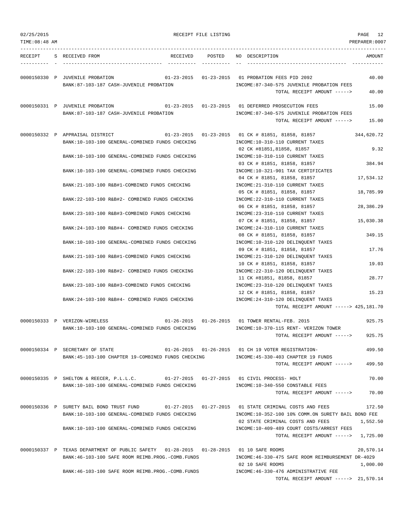| 02/25/2015     |                                                                                                                                              | RECEIPT FILE LISTING |                                                                                                                           | PAGE 12               |
|----------------|----------------------------------------------------------------------------------------------------------------------------------------------|----------------------|---------------------------------------------------------------------------------------------------------------------------|-----------------------|
| TIME: 08:48 AM |                                                                                                                                              |                      |                                                                                                                           | PREPARER:0007         |
|                | RECEIPT S RECEIVED FROM                                                                                                                      |                      | RECEIVED POSTED NO DESCRIPTION                                                                                            | AMOUNT                |
|                | 0000150330 P JUVENILE PROBATION<br>BANK:87-103-187 CASH-JUVENILE PROBATION                                                                   |                      | 01-23-2015   01-23-2015   01   PROBATION FEES PID   2092<br>INCOME:87-340-575 JUVENILE PROBATION FEES                     | 40.00                 |
|                |                                                                                                                                              |                      | TOTAL RECEIPT AMOUNT ----->                                                                                               | 40.00                 |
|                | 0000150331 P JUVENILE PROBATION<br>BANK:87-103-187 CASH-JUVENILE PROBATION                                                                   |                      | 01-23-2015   01-23-2015   01 DEFERRED PROSECUTION FEES<br>INCOME:87-340-575 JUVENILE PROBATION FEES                       | 15.00                 |
|                |                                                                                                                                              |                      | TOTAL RECEIPT AMOUNT ----->                                                                                               | 15.00                 |
|                | 0000150332 P APPRAISAL DISTRICT 01-23-2015 01-23-2015 01 CK # 81851, 81858, 81857<br>BANK:10-103-100 GENERAL-COMBINED FUNDS CHECKING         |                      | INCOME:10-310-110 CURRENT TAXES                                                                                           | 344,620.72            |
|                | BANK:10-103-100 GENERAL-COMBINED FUNDS CHECKING                                                                                              |                      | 02 CK #81851,81858, 81857<br>INCOME:10-310-110 CURRENT TAXES                                                              | 9.32                  |
|                | BANK:10-103-100 GENERAL-COMBINED FUNDS CHECKING                                                                                              |                      | 03 CK # 81851, 81858, 81857<br>INCOME:10-321-901 TAX CERTIFICATES                                                         | 384.94                |
|                | BANK: 21-103-100 R&B#1-COMBINED FUNDS CHECKING                                                                                               |                      | 04 CK # 81851, 81858, 81857<br>INCOME: 21-310-110 CURRENT TAXES                                                           | 17,534.12             |
|                | BANK:22-103-100 R&B#2- COMBINED FUNDS CHECKING                                                                                               |                      | 05 CK # 81851, 81858, 81857<br>INCOME: 22-310-110 CURRENT TAXES                                                           | 18,785.99             |
|                | BANK: 23-103-100 R&B#3-COMBINED FUNDS CHECKING                                                                                               |                      | 06 CK # 81851, 81858, 81857<br>INCOME: 23-310-110 CURRENT TAXES                                                           | 28,386.29             |
|                | BANK: 24-103-100 R&B#4- COMBINED FUNDS CHECKING                                                                                              |                      | 07 CK # 81851, 81858, 81857<br>INCOME: 24-310-110 CURRENT TAXES                                                           | 15,030.38             |
|                | BANK:10-103-100 GENERAL-COMBINED FUNDS CHECKING                                                                                              |                      | 08 CK # 81851, 81858, 81857<br>INCOME:10-310-120 DELINQUENT TAXES                                                         | 349.15                |
|                | BANK: 21-103-100 R&B#1-COMBINED FUNDS CHECKING                                                                                               |                      | 09 CK # 81851, 81858, 81857<br>INCOME: 21-310-120 DELINQUENT TAXES                                                        | 17.76                 |
|                | BANK:22-103-100 R&B#2- COMBINED FUNDS CHECKING                                                                                               |                      | 10 CK # 81851, 81858, 81857<br>INCOME: 22-310-120 DELINQUENT TAXES                                                        | 19.03                 |
|                | BANK: 23-103-100 R&B#3-COMBINED FUNDS CHECKING                                                                                               |                      | 11 CK #81851, 81858, 81857<br>INCOME: 23-310-120 DELINQUENT TAXES                                                         | 28.77                 |
|                | BANK:24-103-100 R&B#4- COMBINED FUNDS CHECKING                                                                                               |                      | 12 CK # 81851, 81858, 81857<br>INCOME: 24-310-120 DELINQUENT TAXES<br>TOTAL RECEIPT AMOUNT -----> 425,181.70              | 15.23                 |
|                |                                                                                                                                              |                      |                                                                                                                           |                       |
|                | 0000150333 P VERIZON-WIRELESS<br>BANK:10-103-100 GENERAL-COMBINED FUNDS CHECKING                                                             |                      | 01-26-2015  01-26-2015  01 TOWER RENTAL-FEB. 2015<br>INCOME:10-370-115 RENT- VERIZON TOWER<br>TOTAL RECEIPT AMOUNT -----> | 925.75<br>925.75      |
|                | 0000150334 P SECRETARY OF STATE<br>BANK:45-103-100 CHAPTER 19-COMBINED FUNDS CHECKING                                                        |                      | INCOME:45-330-403 CHAPTER 19 FUNDS                                                                                        | 499.50                |
|                |                                                                                                                                              |                      | TOTAL RECEIPT AMOUNT ----->                                                                                               | 499.50                |
|                | 0000150335 P SHELTON & REECER, P.L.L.C. 01-27-2015 01-27-2015 01 CIVIL PROCESS-HOLT<br>BANK:10-103-100 GENERAL-COMBINED FUNDS CHECKING       |                      | INCOME:10-340-550 CONSTABLE FEES                                                                                          | 70.00                 |
|                |                                                                                                                                              |                      | TOTAL RECEIPT AMOUNT ----->                                                                                               | 70.00                 |
|                | 0000150336 P SURETY BAIL BOND TRUST FUND<br>BANK:10-103-100 GENERAL-COMBINED FUNDS CHECKING                                                  |                      | INCOME:10-352-100 10% COMM.ON SURETY BAIL BOND FEE                                                                        | 172.50                |
|                | BANK:10-103-100 GENERAL-COMBINED FUNDS CHECKING                                                                                              |                      | 02 STATE CRIMINAL COSTS AND FEES<br>INCOME:10-409-489 COURT COSTS/ARREST FEES                                             | 1,552.50              |
|                |                                                                                                                                              |                      | TOTAL RECEIPT AMOUNT $--- $ 1,725.00                                                                                      |                       |
|                | 0000150337 P TEXAS DEPARTMENT OF PUBLIC SAFETY  01-28-2015  01-28-2015  01 10 SAFE ROOMS<br>BANK:46-103-100 SAFE ROOM REIMB.PROG.-COMB.FUNDS |                      | INCOME:46-330-475 SAFE ROOM REIMBURSEMENT DR-4029<br>02 10 SAFE ROOMS                                                     | 20,570.14<br>1,000.00 |
|                | BANK:46-103-100 SAFE ROOM REIMB.PROG.-COMB.FUNDS                                                                                             |                      | INCOME: 46-330-476 ADMINISTRATIVE FEE<br>TOTAL RECEIPT AMOUNT $---21,570.14$                                              |                       |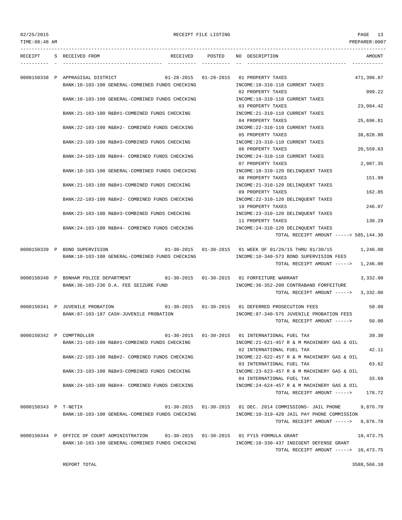| 02/25/2015<br>TIME: 08:48 AM |                                                                                                                             | RECEIPT FILE LISTING |                                                                                                                                                    | PAGE 13<br>PREPARER: 0007 |
|------------------------------|-----------------------------------------------------------------------------------------------------------------------------|----------------------|----------------------------------------------------------------------------------------------------------------------------------------------------|---------------------------|
| --------                     | RECEIPT S RECEIVED FROM                                                                                                     |                      | RECEIVED POSTED NO DESCRIPTION                                                                                                                     | AMOUNT<br>-----------     |
|                              | 0000150338 P APPRASISAL DISTRICT<br>BANK:10-103-100 GENERAL-COMBINED FUNDS CHECKING                                         |                      | 01-28-2015   01-28-2015   01   PROPERTY TAXES<br>INCOME:10-310-110 CURRENT TAXES                                                                   | 471,396.87                |
|                              | BANK:10-103-100 GENERAL-COMBINED FUNDS CHECKING                                                                             |                      | 02 PROPERTY TAXES<br>INCOME:10-310-110 CURRENT TAXES<br>03 PROPERTY TAXES                                                                          | 999.22<br>23,984.42       |
|                              | BANK: 21-103-100 R&B#1-COMBINED FUNDS CHECKING                                                                              |                      | INCOME: 21-310-110 CURRENT TAXES<br>04 PROPERTY TAXES                                                                                              | 25,696.81                 |
|                              | BANK:22-103-100 R&B#2- COMBINED FUNDS CHECKING                                                                              |                      | INCOME: 22-310-110 CURRENT TAXES<br>05 PROPERTY TAXES                                                                                              | 38,828.80                 |
|                              | BANK: 23-103-100 R&B#3-COMBINED FUNDS CHECKING                                                                              |                      | INCOME: 23-310-110 CURRENT TAXES<br>06 PROPERTY TAXES                                                                                              | 20,559.63                 |
|                              | BANK:24-103-100 R&B#4- COMBINED FUNDS CHECKING<br>BANK:10-103-100 GENERAL-COMBINED FUNDS CHECKING                           |                      | INCOME: 24-310-110 CURRENT TAXES<br>07 PROPERTY TAXES<br>INCOME:10-310-120 DELINQUENT TAXES                                                        | 2,987.35                  |
|                              | BANK: 21-103-100 R&B#1-COMBINED FUNDS CHECKING                                                                              |                      | 08 PROPERTY TAXES<br>INCOME: 21-310-120 DELINOUENT TAXES                                                                                           | 151.99                    |
|                              | BANK: 22-103-100 R&B#2- COMBINED FUNDS CHECKING                                                                             |                      | 09 PROPERTY TAXES<br>INCOME: 22-310-120 DELINQUENT TAXES                                                                                           | 162.85                    |
|                              | BANK: 23-103-100 R&B#3-COMBINED FUNDS CHECKING                                                                              |                      | 10 PROPERTY TAXES<br>INCOME: 23-310-120 DELINQUENT TAXES                                                                                           | 246.07                    |
|                              | BANK:24-103-100 R&B#4- COMBINED FUNDS CHECKING                                                                              |                      | 11 PROPERTY TAXES<br>INCOME: 24-310-120 DELINQUENT TAXES<br>TOTAL RECEIPT AMOUNT -----> 585,144.30                                                 | 130.29                    |
|                              | 0000150339 P BOND SUPERVISION<br>BANK:10-103-100 GENERAL-COMBINED FUNDS CHECKING                                            |                      | 01-30-2015  01-30-2015  01 WEEK OF 01/26/15 THRU 01/30/15<br>INCOME:10-340-573 BOND SUPERVISION FEES<br>TOTAL RECEIPT AMOUNT ----->                | 1,246.00<br>1,246.00      |
|                              | 0000150340 P BONHAM POLICE DEPARTMENT 01-30-2015 01-30-2015 01 FORFEITURE WARRANT<br>BANK: 36-103-236 D.A. FEE SEIZURE FUND |                      | INCOME: 36-352-200 CONTRABAND FORFEITURE<br>TOTAL RECEIPT AMOUNT -----> 3,332.00                                                                   | 3,332.00                  |
|                              | 0000150341 P JUVENILE PROBATION<br>BANK:87-103-187 CASH-JUVENILE PROBATION                                                  |                      | 01-30-2015  01-30-2015  01 DEFERRED PROSECUTION FEES<br>INCOME:87-340-575 JUVENILE PROBATION FEES<br>TOTAL RECEIPT AMOUNT ----->                   | 50.00<br>50.00            |
|                              | 0000150342 P COMPTROLLER<br>BANK:21-103-100 R&B#1-COMBINED FUNDS CHECKING                                                   |                      | 01-30-2015   01-30-2015   01 INTERNATIONAL FUEL TAX<br>INCOME: 21-621-457 R & M MACHINERY GAS & OIL<br>02 INTERNATIONAL FUEL TAX                   | 39.30<br>42.11            |
|                              | BANK:22-103-100 R&B#2- COMBINED FUNDS CHECKING                                                                              |                      | INCOME: 22-622-457 R & M MACHINERY GAS & OIL<br>03 INTERNATIONAL FUEL TAX                                                                          | 63.62                     |
|                              | BANK:23-103-100 R&B#3-COMBINED FUNDS CHECKING                                                                               |                      | INCOME:23-623-457 R & M MACHINERY GAS & OIL<br>04 INTERNATIONAL FUEL TAX                                                                           | 33.69                     |
|                              | BANK: 24-103-100 R&B#4- COMBINED FUNDS CHECKING                                                                             |                      | INCOME: 24-624-457 R & M MACHINERY GAS & OIL<br>TOTAL RECEIPT AMOUNT ----->                                                                        | 178.72                    |
| 0000150343 P T-NETIX         | BANK:10-103-100 GENERAL-COMBINED FUNDS CHECKING                                                                             |                      | 01-30-2015  01-30-2015  01 DEC. 2014 COMMISSIONS- JAIL PHONE<br>INCOME:10-319-420 JAIL PAY PHONE COMMISSION<br>TOTAL RECEIPT AMOUNT $--- 9,876.70$ | 9,876.70                  |
|                              | 0000150344 P OFFICE OF COURT ADMINISTRATION<br>BANK:10-103-100 GENERAL-COMBINED FUNDS CHECKING                              |                      | 01-30-2015   01-30-2015   01   FY15   FORMULA GRANT<br>INCOME:10-330-437 INDIGENT DEFENSE GRANT                                                    | 10,473.75                 |
|                              | REPORT TOTAL                                                                                                                |                      | TOTAL RECEIPT AMOUNT -----> 10,473.75                                                                                                              | 3588,566.10               |
|                              |                                                                                                                             |                      |                                                                                                                                                    |                           |